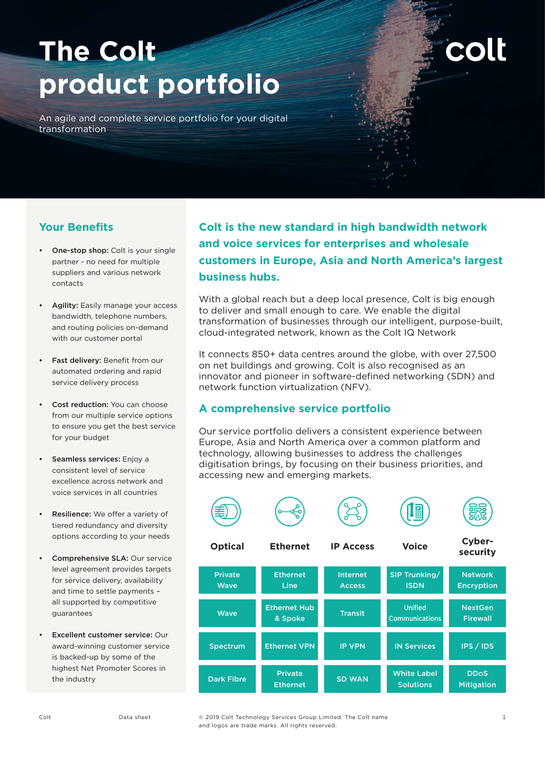# **The Colt product portfolio**

**colt** 

An agile and complete service portfolio for your digital transformation

# **Your Benefits**

- One-stop shop: Colt is your single partner - no need for multiple suppliers and various network contacts
- Agility: Easily manage your access bandwidth, telephone numbers, and routing policies on-demand with our customer portal
- Fast delivery: Benefit from our automated ordering and rapid service delivery process
- **Cost reduction:** You can choose from our multiple service options to ensure you get the best service for your budget
- Seamless services: Enjoy a consistent level of service excellence across network and voice services in all countries
- Resilience: We offer a variety of tiered redundancy and diversity options according to your needs
- Comprehensive SLA: Our service level agreement provides targets for service delivery, availability and time to settle payments – all supported by competitive guarantees
- Excellent customer service: Our award-winning customer service is backed-up by some of the highest Net Promoter Scores in the industry

**Colt is the new standard in high bandwidth network and voice services for enterprises and wholesale customers in Europe, Asia and North America's largest business hubs.**

With a global reach but a deep local presence, Colt is big enough to deliver and small enough to care. We enable the digital transformation of businesses through our intelligent, purpose-built, cloud-integrated network, known as the Colt IQ Network

It connects 850+ data centres around the globe, with over 27,500 on net buildings and growing. Colt is also recognised as an innovator and pioneer in software-defined networking (SDN) and network function virtualization (NFV).

# **A comprehensive service portfolio**

Our service portfolio delivers a consistent experience between Europe, Asia and North America over a common platform and technology, allowing businesses to address the challenges digitisation brings, by focusing on their business priorities, and accessing new and emerging markets.







**Optical Ethernet IP Access Voice Cybersecurity**

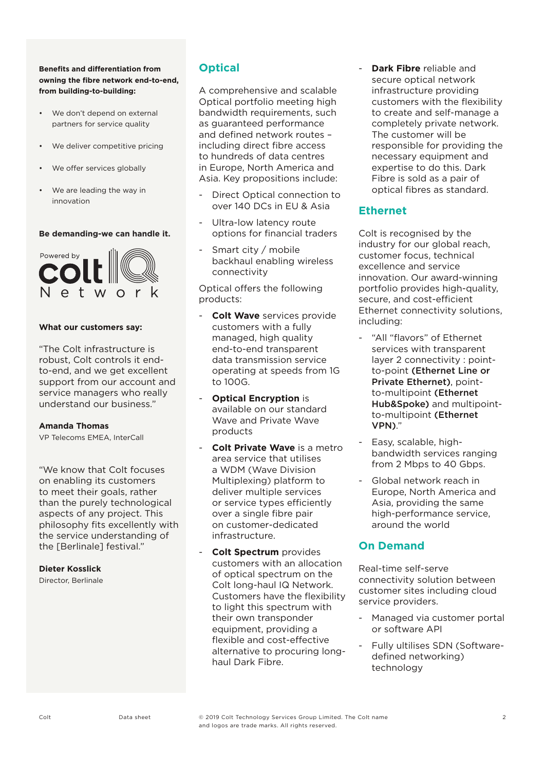## **Benefits and differentiation from owning the fibre network end-to-end, from building-to-building:**

- We don't depend on external partners for service quality
- We deliver competitive pricing
- We offer services globally
- We are leading the way in innovation

#### **Be demanding-we can handle it.**



#### **What our customers say:**

"The Colt infrastructure is robust, Colt controls it endto-end, and we get excellent support from our account and service managers who really understand our business."

#### **Amanda Thomas**

VP Telecoms EMEA, InterCall

"We know that Colt focuses on enabling its customers to meet their goals, rather than the purely technological aspects of any project. This philosophy fits excellently with the service understanding of the [Berlinale] festival."

## **Dieter Kosslick**

Director, Berlinale

# **Optical**

A comprehensive and scalable Optical portfolio meeting high bandwidth requirements, such as guaranteed performance and defined network routes – including direct fibre access to hundreds of data centres in Europe, North America and Asia. Key propositions include:

- Direct Optical connection to over 140 DCs in EU & Asia
- Ultra-low latency route options for financial traders
- Smart city / mobile backhaul enabling wireless connectivity

Optical offers the following products:

- **Colt Wave** services provide customers with a fully managed, high quality end-to-end transparent data transmission service operating at speeds from 1G to 100G.
- **Optical Encryption** is available on our standard Wave and Private Wave products
- **Colt Private Wave** is a metro area service that utilises a WDM (Wave Division Multiplexing) platform to deliver multiple services or service types efficiently over a single fibre pair on customer-dedicated infrastructure.
- **Colt Spectrum** provides customers with an allocation of optical spectrum on the Colt long-haul IQ Network. Customers have the flexibility to light this spectrum with their own transponder equipment, providing a flexible and cost-effective alternative to procuring longhaul Dark Fibre.

- **Dark Fibre** reliable and secure optical network infrastructure providing customers with the flexibility to create and self-manage a completely private network. The customer will be responsible for providing the necessary equipment and expertise to do this. Dark Fibre is sold as a pair of optical fibres as standard.

# **Ethernet**

Colt is recognised by the industry for our global reach, customer focus, technical excellence and service innovation. Our award-winning portfolio provides high-quality, secure, and cost-efficient Ethernet connectivity solutions, including:

- "All "flavors" of Ethernet services with transparent layer 2 connectivity : pointto-point (Ethernet Line or Private Ethernet), pointto-multipoint (Ethernet Hub&Spoke) and multipointto-multipoint (Ethernet VPN)."
- Easy, scalable, highbandwidth services ranging from 2 Mbps to 40 Gbps.
- Global network reach in Europe, North America and Asia, providing the same high-performance service, around the world

# **On Demand**

Real-time self-serve connectivity solution between customer sites including cloud service providers.

- Managed via customer portal or software API
- Fully ultilises SDN (Softwaredefined networking) technology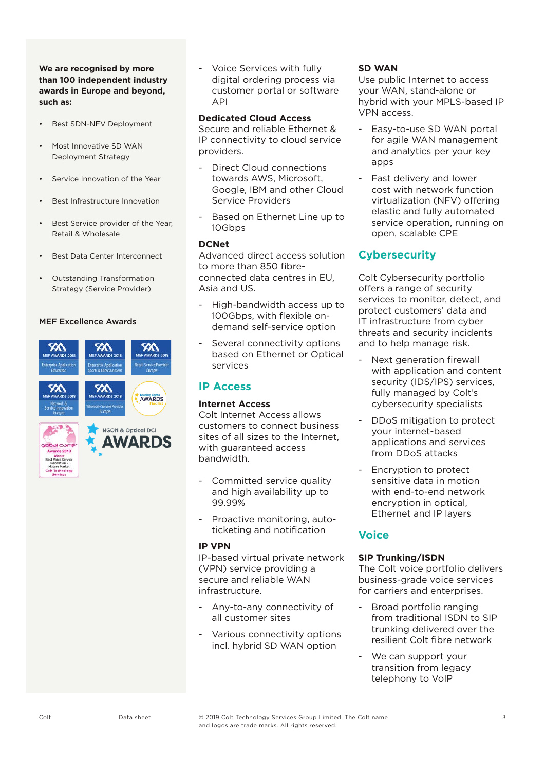## **We are recognised by more than 100 independent industry awards in Europe and beyond, such as:**

- Best SDN-NFV Deployment
- Most Innovative SD WAN Deployment Strategy
- Service Innovation of the Year
- Best Infrastructure Innovation
- Best Service provider of the Year, Retail & Wholesale
- Best Data Center Interconnect
- Outstanding Transformation Strategy (Service Provider)

## MEF Excellence Awards



- Voice Services with fully digital ordering process via customer portal or software API

#### **Dedicated Cloud Access**

Secure and reliable Ethernet & IP connectivity to cloud service providers.

- Direct Cloud connections towards AWS, Microsoft, Google, IBM and other Cloud Service Providers
- Based on Ethernet Line up to 10Gbps

#### **DCNet**

Advanced direct access solution to more than 850 fibreconnected data centres in EU, Asia and US.

- High-bandwidth access up to 100Gbps, with flexible ondemand self-service option
- Several connectivity options based on Ethernet or Optical services

# **IP Access**

# **Internet Access**

Colt Internet Access allows customers to connect business sites of all sizes to the Internet, with quaranteed access bandwidth.

- Committed service quality and high availability up to 99.99%
- Proactive monitoring, autoticketing and notification

# **IP VPN**

IP-based virtual private network (VPN) service providing a secure and reliable WAN infrastructure.

- Any-to-any connectivity of all customer sites
- Various connectivity options incl. hybrid SD WAN option

## **SD WAN**

Use public Internet to access your WAN, stand-alone or hybrid with your MPLS-based IP VPN access.

- Easy-to-use SD WAN portal for agile WAN management and analytics per your key apps
- Fast delivery and lower cost with network function virtualization (NFV) offering elastic and fully automated service operation, running on open, scalable CPE

# **Cybersecurity**

Colt Cybersecurity portfolio offers a range of security services to monitor, detect, and protect customers' data and IT infrastructure from cyber threats and security incidents and to help manage risk.

- Next generation firewall with application and content security (IDS/IPS) services, fully managed by Colt's cybersecurity specialists
- DDoS mitigation to protect your internet-based applications and services from DDoS attacks
- Encryption to protect sensitive data in motion with end-to-end network encryption in optical, Ethernet and IP layers

# **Voice**

# **SIP Trunking/ISDN**

The Colt voice portfolio delivers business-grade voice services for carriers and enterprises.

- Broad portfolio ranging from traditional ISDN to SIP trunking delivered over the resilient Colt fibre network
- We can support your transition from legacy telephony to VoIP